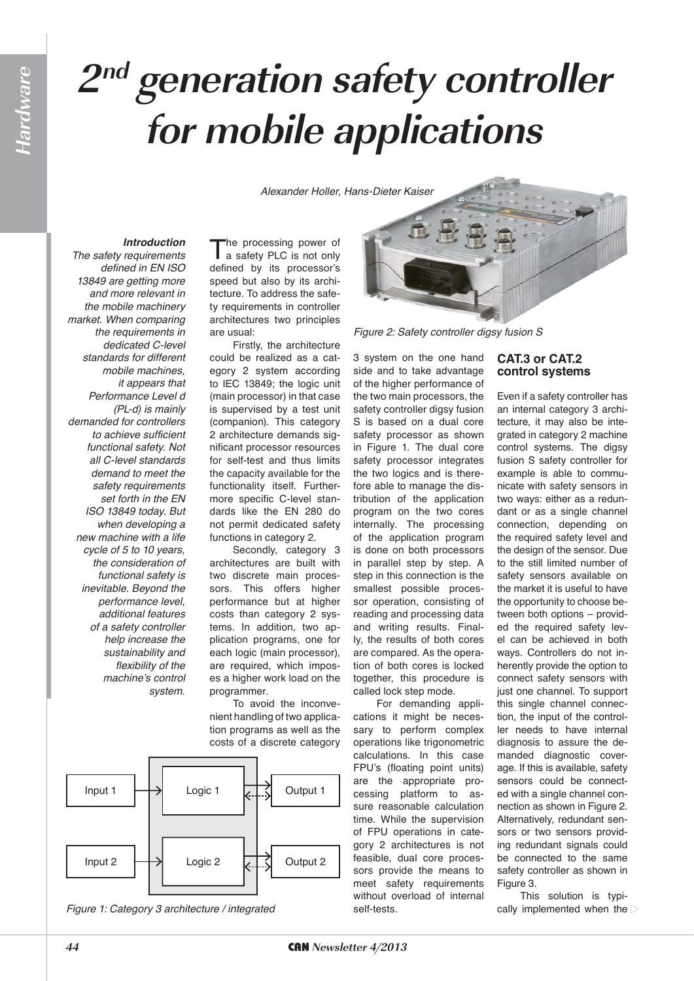# **2nd generation safety controller for mobile applications**

*Alexander Holler, Hans-Dieter Kaiser*

## *Introduction*

*The safety requirements defined in EN ISO 13849 are getting more and more relevant in the mobile machinery market. When comparing the requirements in dedicated C-level standards for different mobile machines, it appears that Performance Level d (PL-d) is mainly demanded for controllers to achieve sufficient functional safety. Not all C-level standards demand to meet the safety requirements set forth in the EN ISO 13849 today. But when developing a new machine with a life cycle of 5 to 10 years, the consideration of functional safety is inevitable. Beyond the performance level, additional features of a safety controller help increase the sustainability and flexibility of the*  machine's control *system.* 

The processing power of<br>
a safety PLC is not only defined by its processor's speed but also by its architecture. To address the safety requirements in controller architectures two principles are usual:

Firstly, the architecture could be realized as a category 2 system according to IEC 13849; the logic unit (main processor) in that case is supervised by a test unit (companion). This category 2 architecture demands significant processor resources for self-test and thus limits the capacity available for the functionality itself. Furthermore specific C-level standards like the EN 280 do not permit dedicated safety functions in category 2.

Secondly, category 3 architectures are built with two discrete main processors. This offers higher performance but at higher costs than category 2 systems. In addition, two application programs, one for each logic (main processor), are required, which imposes a higher work load on the programmer.

To avoid the inconvenient handling of two application programs as well as the costs of a discrete category



*Figure 1: Category 3 architecture / integrated*



*Figure 2: Safety controller digsy fusion S*

3 system on the one hand side and to take advantage of the higher performance of the two main processors, the safety controller digsy fusion S is based on a dual core safety processor as shown in Figure 1. The dual core safety processor integrates the two logics and is therefore able to manage the distribution of the application program on the two cores internally. The processing of the application program is done on both processors in parallel step by step. A step in this connection is the smallest possible processor operation, consisting of reading and processing data and writing results. Finally, the results of both cores are compared. As the operation of both cores is locked together, this procedure is called lock step mode.

For demanding applications it might be necessary to perform complex operations like trigonometric calculations. In this case FPU's (floating point units) are the appropriate processing platform to assure reasonable calculation time. While the supervision of FPU operations in category 2 architectures is not feasible, dual core processors provide the means to meet safety requirements without overload of internal self-tests.

## **CAT.3 or CAT.2** control systems

Even if a safety controller has an internal category 3 architecture, it may also be integrated in category 2 machine control systems. The digsy fusion S safety controller for example is able to communicate with safety sensors in two ways: either as a redundant or as a single channel connection, depending on the required safety level and the design of the sensor. Due to the still limited number of safety sensors available on the market it is useful to have the opportunity to choose between both options – provided the required safety level can be achieved in both ways. Controllers do not inherently provide the option to connect safety sensors with just one channel. To support this single channel connection, the input of the controller needs to have internal diagnosis to assure the demanded diagnostic coverage. If this is available, safety sensors could be connected with a single channel connection as shown in Figure 2. Alternatively, redundant sensors or two sensors providing redundant signals could be connected to the same safety controller as shown in Figure 3.

This solution is typically implemented when the